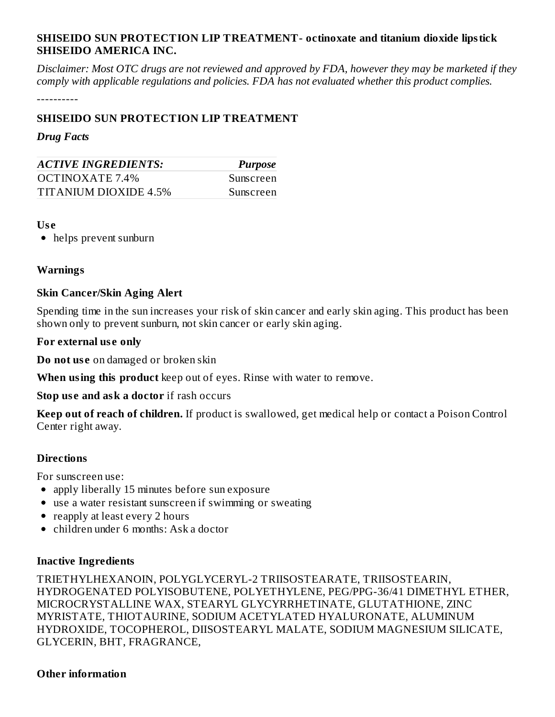# **SHISEIDO SUN PROTECTION LIP TREATMENT- octinoxate and titanium dioxide lipstick SHISEIDO AMERICA INC.**

Disclaimer: Most OTC drugs are not reviewed and approved by FDA, however they may be marketed if they *comply with applicable regulations and policies. FDA has not evaluated whether this product complies.*

----------

## **SHISEIDO SUN PROTECTION LIP TREATMENT**

#### *Drug Facts*

| <b>ACTIVE INGREDIENTS:</b> | <b>Purpose</b> |  |  |
|----------------------------|----------------|--|--|
| OCTINOXATE 7.4%            | Sunscreen      |  |  |
| TITANIUM DIOXIDE 4.5%      | Sunscreen      |  |  |

#### **Us e**

helps prevent sunburn

## **Warnings**

## **Skin Cancer/Skin Aging Alert**

Spending time in the sun increases your risk of skin cancer and early skin aging. This product has been shown only to prevent sunburn, not skin cancer or early skin aging.

## **For external us e only**

**Do not us e** on damaged or broken skin

**When using this product** keep out of eyes. Rinse with water to remove.

**Stop us e and ask a doctor** if rash occurs

**Keep out of reach of children.** If product is swallowed, get medical help or contact a Poison Control Center right away.

## **Directions**

For sunscreen use:

- apply liberally 15 minutes before sun exposure
- use a water resistant sunscreen if swimming or sweating
- reapply at least every 2 hours
- children under 6 months: Ask a doctor

#### **Inactive Ingredients**

TRIETHYLHEXANOIN, POLYGLYCERYL-2 TRIISOSTEARATE, TRIISOSTEARIN, HYDROGENATED POLYISOBUTENE, POLYETHYLENE, PEG/PPG-36/41 DIMETHYL ETHER, MICROCRYSTALLINE WAX, STEARYL GLYCYRRHETINATE, GLUTATHIONE, ZINC MYRISTATE, THIOTAURINE, SODIUM ACETYLATED HYALURONATE, ALUMINUM HYDROXIDE, TOCOPHEROL, DIISOSTEARYL MALATE, SODIUM MAGNESIUM SILICATE, GLYCERIN, BHT, FRAGRANCE,

## **Other information**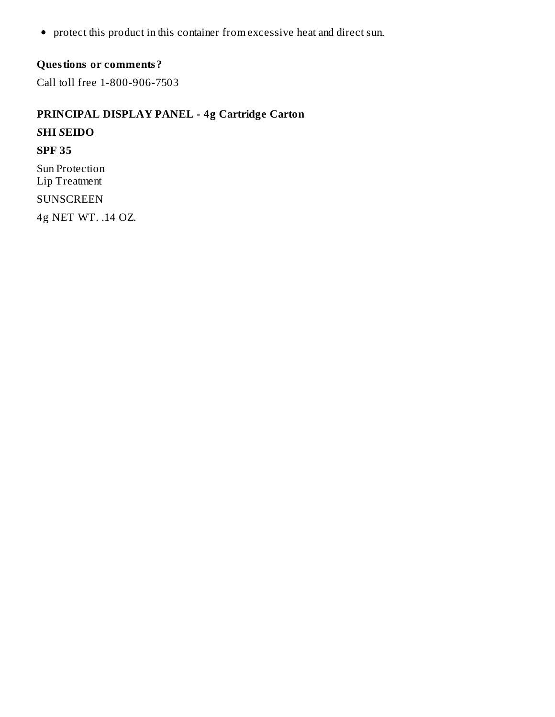protect this product in this container from excessive heat and direct sun.

# **Questions or comments?**

Call toll free 1-800-906-7503

**PRINCIPAL DISPLAY PANEL - 4g Cartridge Carton** *S***HI** *S***EIDO SPF 35** Sun Protection Lip Treatment SUNSCREEN 4g NET WT. .14 OZ.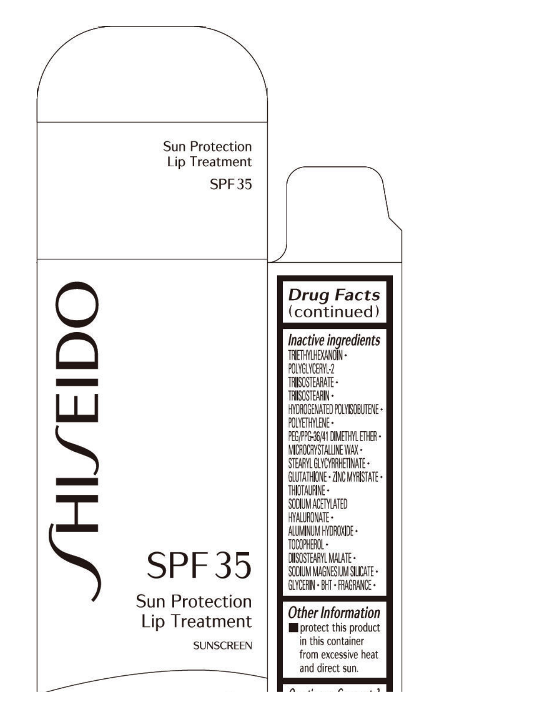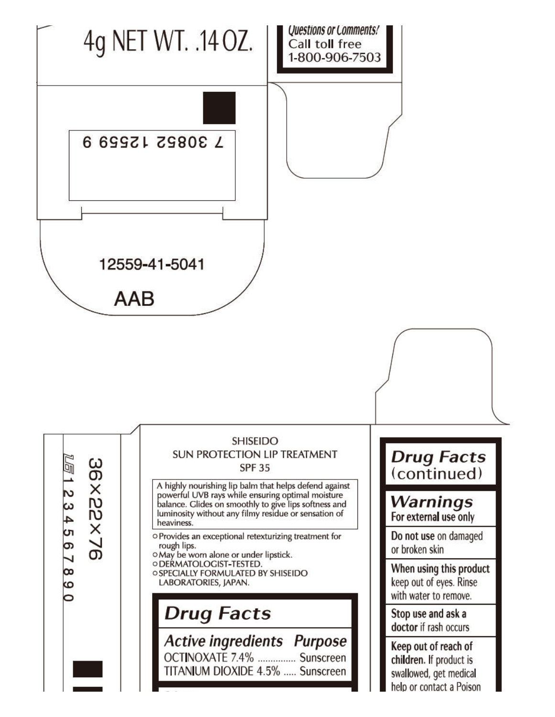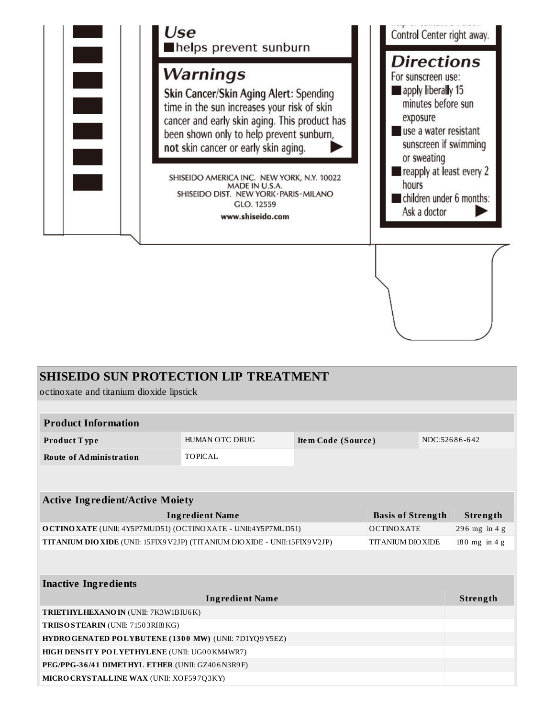

| <b>SHISEIDO SUN PROTECTION LIP TREATMENT</b>                                                              |                        |                    |  |                 |               |  |
|-----------------------------------------------------------------------------------------------------------|------------------------|--------------------|--|-----------------|---------------|--|
| octinoxate and titanium dioxide lipstick                                                                  |                        |                    |  |                 |               |  |
|                                                                                                           |                        |                    |  |                 |               |  |
| <b>Product Information</b>                                                                                |                        |                    |  |                 |               |  |
| Product Type                                                                                              | HUMAN OTC DRUG         | Item Code (Source) |  |                 | NDC:52686-642 |  |
| <b>Route of Administration</b>                                                                            | <b>TOPICAL</b>         |                    |  |                 |               |  |
|                                                                                                           |                        |                    |  |                 |               |  |
|                                                                                                           |                        |                    |  |                 |               |  |
| <b>Active Ingredient/Active Moiety</b>                                                                    |                        |                    |  |                 |               |  |
| <b>Ingredient Name</b><br><b>Basis of Strength</b>                                                        |                        |                    |  |                 | Strength      |  |
| O CTINO XATE (UNII: 4Y5P7MUD51) (OCTINO XATE - UNII:4Y5P7MUD51)<br><b>OCTINOXATE</b>                      |                        |                    |  |                 | 296 mg in 4 g |  |
| TITANIUM DIO XIDE (UNII: 15FIX9 V2JP) (TITANIUM DIO XIDE - UNII: 15FIX9 V2JP)<br><b>TITANIUM DIO XIDE</b> |                        |                    |  | $180$ mg in 4 g |               |  |
|                                                                                                           |                        |                    |  |                 |               |  |
|                                                                                                           |                        |                    |  |                 |               |  |
| <b>Inactive Ingredients</b>                                                                               |                        |                    |  |                 |               |  |
|                                                                                                           | <b>Ingredient Name</b> |                    |  |                 | Strength      |  |
| <b>TRIETHYLHEXANO IN (UNII: 7K3W1BIU6K)</b>                                                               |                        |                    |  |                 |               |  |
| TRIISO STEARIN (UNII: 71503RH8KG)                                                                         |                        |                    |  |                 |               |  |
| HYDRO GENATED POLYBUTENE (1300 MW) (UNII: 7D1YQ9 Y5EZ)                                                    |                        |                    |  |                 |               |  |
| HIGH DENSITY POLYETHYLENE (UNII: UG00KM4WR7)                                                              |                        |                    |  |                 |               |  |
| PEG/PPG-36/41 DIMETHYL ETHER (UNII: GZ406N3R9F)                                                           |                        |                    |  |                 |               |  |
| MICRO CRYSTALLINE WAX (UNII: XOF597Q3KY)                                                                  |                        |                    |  |                 |               |  |